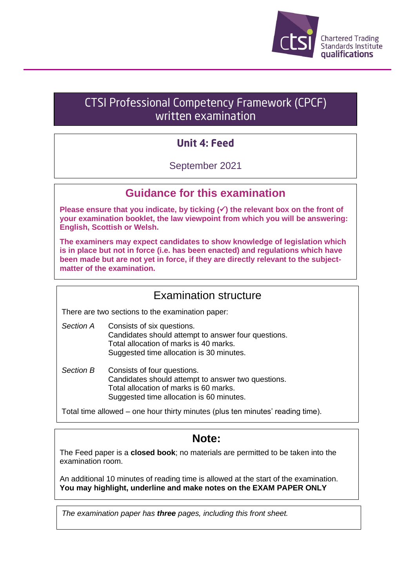

# CTSI Professional Competency Framework (CPCF) written examination

# **Unit 4: Feed**

## September 2021

## **Guidance for this examination**

**Please ensure that you indicate, by ticking (**✓**) the relevant box on the front of your examination booklet, the law viewpoint from which you will be answering: English, Scottish or Welsh.**

**The examiners may expect candidates to show knowledge of legislation which is in place but not in force (i.e. has been enacted) and regulations which have been made but are not yet in force, if they are directly relevant to the subjectmatter of the examination.**

### Examination structure

There are two sections to the examination paper:

- *Section A* Consists of six questions. Candidates should attempt to answer four questions. Total allocation of marks is 40 marks. Suggested time allocation is 30 minutes.
- *Section B* Consists of four questions. Candidates should attempt to answer two questions. Total allocation of marks is 60 marks. Suggested time allocation is 60 minutes.

Total time allowed – one hour thirty minutes (plus ten minutes' reading time).

# **Note:**

The Feed paper is a **closed book**; no materials are permitted to be taken into the examination room.

An additional 10 minutes of reading time is allowed at the start of the examination. **You may highlight, underline and make notes on the EXAM PAPER ONLY**

*The examination paper has three pages, including this front sheet.*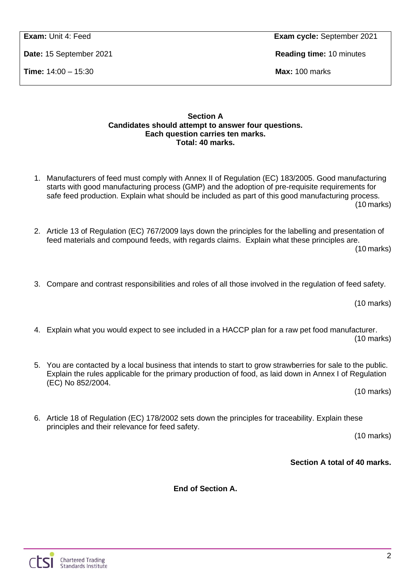**Time:** 14:00 – 15:30 **Max:** 100 marks

**Exam:** Unit 4: Feed **Exam cycle:** September 2021

**Date:** 15 September 2021 **Reading time:** 10 minutes

### **Section A Candidates should attempt to answer four questions. Each question carries ten marks. Total: 40 marks.**

- 1. Manufacturers of feed must comply with Annex II of Regulation (EC) 183/2005. Good manufacturing starts with good manufacturing process (GMP) and the adoption of pre-requisite requirements for safe feed production. Explain what should be included as part of this good manufacturing process. (10 marks)
- 2. Article 13 of Regulation (EC) 767/2009 lays down the principles for the labelling and presentation of feed materials and compound feeds, with regards claims. Explain what these principles are.

(10 marks)

3. Compare and contrast responsibilities and roles of all those involved in the regulation of feed safety.

(10 marks)

- 4. Explain what you would expect to see included in a HACCP plan for a raw pet food manufacturer. (10 marks)
- 5. You are contacted by a local business that intends to start to grow strawberries for sale to the public. Explain the rules applicable for the primary production of food, as laid down in Annex I of Regulation (EC) No 852/2004.

(10 marks)

6. Article 18 of Regulation (EC) 178/2002 sets down the principles for traceability. Explain these principles and their relevance for feed safety.

(10 marks)

**Section A total of 40 marks.**

**End of Section A.**